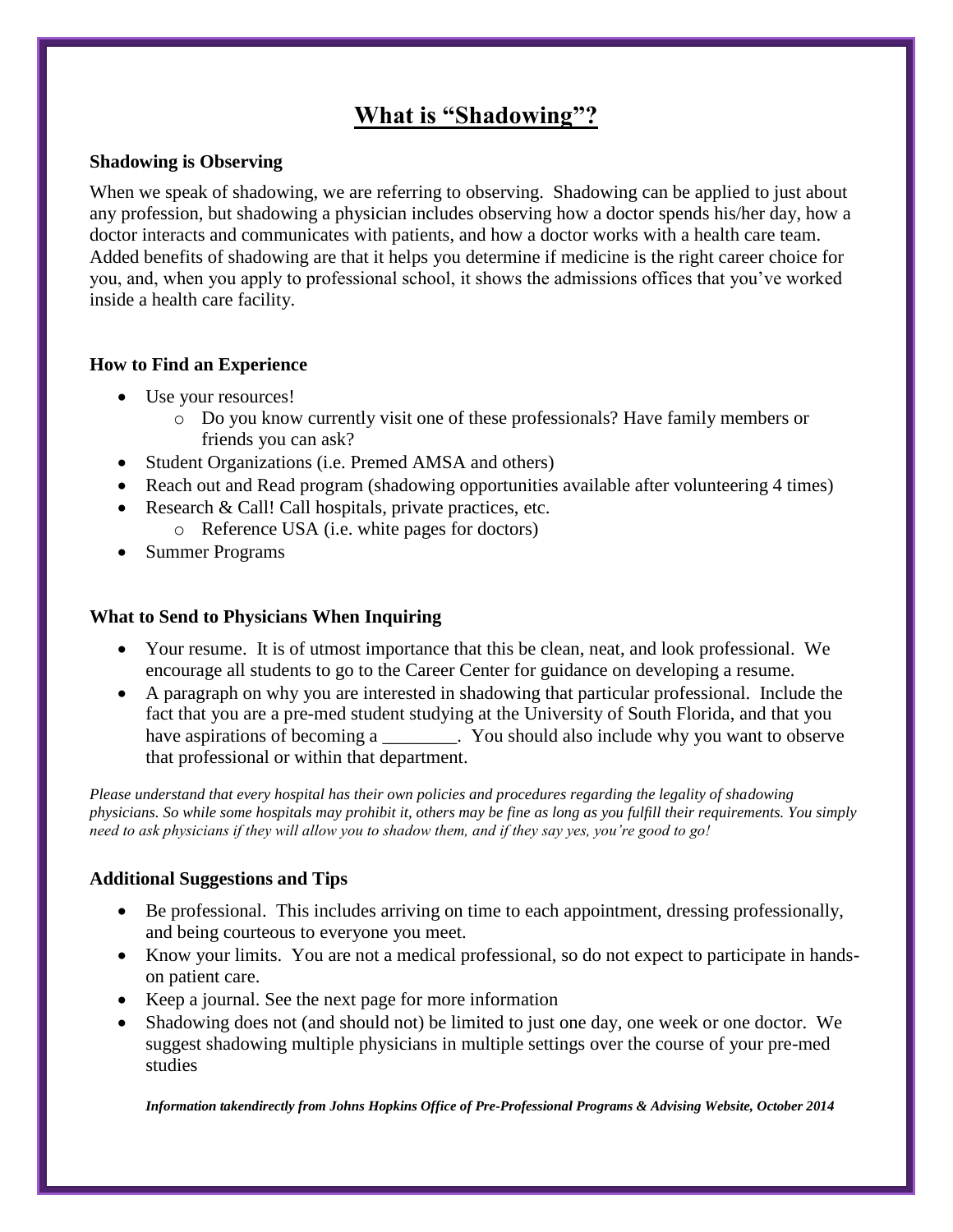# **What is "Shadowing"?**

#### **Shadowing is Observing**

When we speak of shadowing, we are referring to observing. Shadowing can be applied to just about any profession, but shadowing a physician includes observing how a doctor spends his/her day, how a doctor interacts and communicates with patients, and how a doctor works with a health care team. Added benefits of shadowing are that it helps you determine if medicine is the right career choice for you, and, when you apply to professional school, it shows the admissions offices that you've worked inside a health care facility.

#### **How to Find an Experience**

- Use your resources!
	- o Do you know currently visit one of these professionals? Have family members or friends you can ask?
- Student Organizations (i.e. Premed AMSA and others)
- Reach out and Read program (shadowing opportunities available after volunteering 4 times)
- Research & Call! Call hospitals, private practices, etc. o Reference USA (i.e. white pages for doctors)
- Summer Programs

#### **What to Send to Physicians When Inquiring**

- Your resume. It is of utmost importance that this be clean, neat, and look professional. We encourage all students to go to the Career Center for guidance on developing a resume.
- A paragraph on why you are interested in shadowing that particular professional. Include the fact that you are a pre-med student studying at the University of South Florida, and that you have aspirations of becoming a  $\blacksquare$ . You should also include why you want to observe that professional or within that department.

*Please understand that every hospital has their own policies and procedures regarding the legality of shadowing physicians. So while some hospitals may prohibit it, others may be fine as long as you fulfill their requirements. You simply need to ask physicians if they will allow you to shadow them, and if they say yes, you're good to go!*

## **Additional Suggestions and Tips**

- Be professional. This includes arriving on time to each appointment, dressing professionally, and being courteous to everyone you meet.
- Know your limits. You are not a medical professional, so do not expect to participate in handson patient care.
- Keep a journal. See the next page for more information
- Shadowing does not (and should not) be limited to just one day, one week or one doctor. We suggest shadowing multiple physicians in multiple settings over the course of your pre-med studies

*Information takendirectly from Johns Hopkins Office of Pre-Professional Programs & Advising Website, October 2014*